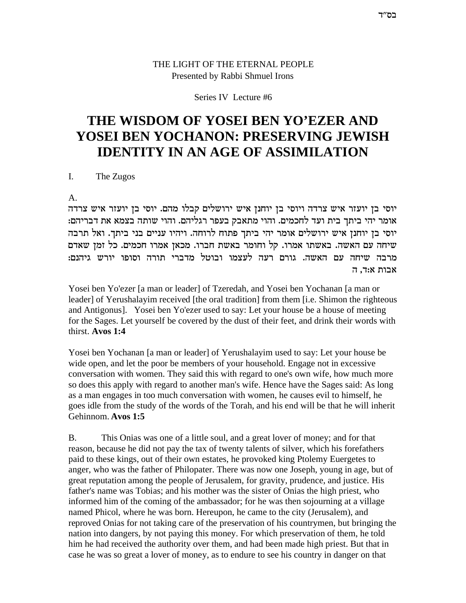### THE LIGHT OF THE ETERNAL PEOPLE Presented by Rabbi Shmuel Irons

### Series IV Lecture #6

# **THE WISDOM OF YOSEI BEN YO'EZER AND YOSEI BEN YOCHANON: PRESERVING JEWISH IDENTITY IN AN AGE OF ASSIMILATION**

I. The Zugos

A.

יוסי בן יועזר איש צרדה ויוסי בן יוחנן איש ירושלים קבלו מהם. יוסי בן יועזר איש צרדה .<br>אומר יהי ביתך בית ועד לחכמים. והוי מתאבק בעפר רגליהם. והוי שותה בצמא את דבריהם יוסי בן יוחנן איש ירושלים אומר יהי ביתך פתוח לרוחה. ויהיו עניים בני ביתך. ואל תרבה שיחה עם האשה. באשתו אמרו. קל וחומר באשת חברו. מכאן אמרו חכמים. כל זמן שאדם : מרבה שיחה עם האשה. גורם רעה לעצמו ובוטל מדברי תורה וסופו יורש גיהנם אבות א:ד, ה

Yosei ben Yo'ezer [a man or leader] of Tzeredah, and Yosei ben Yochanan [a man or leader] of Yerushalayim received [the oral tradition] from them [i.e. Shimon the righteous and Antigonus]. Yosei ben Yo'ezer used to say: Let your house be a house of meeting for the Sages. Let yourself be covered by the dust of their feet, and drink their words with thirst. **Avos 1:4**

Yosei ben Yochanan [a man or leader] of Yerushalayim used to say: Let your house be wide open, and let the poor be members of your household. Engage not in excessive conversation with women. They said this with regard to one's own wife, how much more so does this apply with regard to another man's wife. Hence have the Sages said: As long as a man engages in too much conversation with women, he causes evil to himself, he goes idle from the study of the words of the Torah, and his end will be that he will inherit Gehinnom. **Avos 1:5**

B. This Onias was one of a little soul, and a great lover of money; and for that reason, because he did not pay the tax of twenty talents of silver, which his forefathers paid to these kings, out of their own estates, he provoked king Ptolemy Euergetes to anger, who was the father of Philopater. There was now one Joseph, young in age, but of great reputation among the people of Jerusalem, for gravity, prudence, and justice. His father's name was Tobias; and his mother was the sister of Onias the high priest, who informed him of the coming of the ambassador; for he was then sojourning at a village named Phicol, where he was born. Hereupon, he came to the city (Jerusalem), and reproved Onias for not taking care of the preservation of his countrymen, but bringing the nation into dangers, by not paying this money. For which preservation of them, he told him he had received the authority over them, and had been made high priest. But that in case he was so great a lover of money, as to endure to see his country in danger on that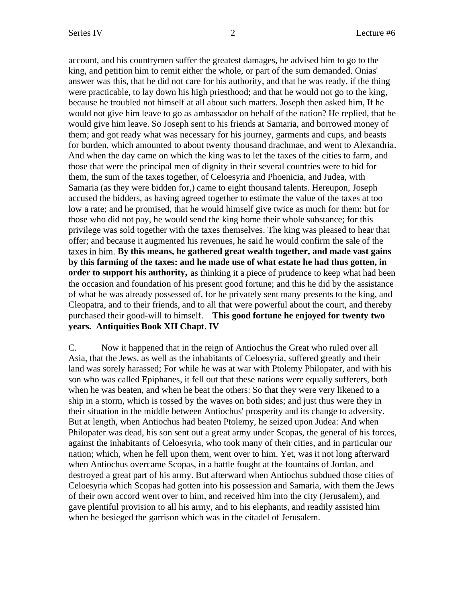account, and his countrymen suffer the greatest damages, he advised him to go to the king, and petition him to remit either the whole, or part of the sum demanded. Onias' answer was this, that he did not care for his authority, and that he was ready, if the thing were practicable, to lay down his high priesthood; and that he would not go to the king, because he troubled not himself at all about such matters. Joseph then asked him, If he would not give him leave to go as ambassador on behalf of the nation? He replied, that he would give him leave. So Joseph sent to his friends at Samaria, and borrowed money of them; and got ready what was necessary for his journey, garments and cups, and beasts for burden, which amounted to about twenty thousand drachmae, and went to Alexandria. And when the day came on which the king was to let the taxes of the cities to farm, and those that were the principal men of dignity in their several countries were to bid for them, the sum of the taxes together, of Celoesyria and Phoenicia, and Judea, with Samaria (as they were bidden for,) came to eight thousand talents. Hereupon, Joseph accused the bidders, as having agreed together to estimate the value of the taxes at too low a rate; and he promised, that he would himself give twice as much for them: but for those who did not pay, he would send the king home their whole substance; for this privilege was sold together with the taxes themselves. The king was pleased to hear that offer; and because it augmented his revenues, he said he would confirm the sale of the taxes in him. **By this means, he gathered great wealth together, and made vast gains by this farming of the taxes: and he made use of what estate he had thus gotten, in order to support his authority,** as thinking it a piece of prudence to keep what had been the occasion and foundation of his present good fortune; and this he did by the assistance of what he was already possessed of, for he privately sent many presents to the king, and Cleopatra, and to their friends, and to all that were powerful about the court, and thereby purchased their good-will to himself. **This good fortune he enjoyed for twenty two years. Antiquities Book XII Chapt. IV**

C. Now it happened that in the reign of Antiochus the Great who ruled over all Asia, that the Jews, as well as the inhabitants of Celoesyria, suffered greatly and their land was sorely harassed; For while he was at war with Ptolemy Philopater, and with his son who was called Epiphanes, it fell out that these nations were equally sufferers, both when he was beaten, and when he beat the others: So that they were very likened to a ship in a storm, which is tossed by the waves on both sides; and just thus were they in their situation in the middle between Antiochus' prosperity and its change to adversity. But at length, when Antiochus had beaten Ptolemy, he seized upon Judea: And when Philopater was dead, his son sent out a great army under Scopas, the general of his forces, against the inhabitants of Celoesyria, who took many of their cities, and in particular our nation; which, when he fell upon them, went over to him. Yet, was it not long afterward when Antiochus overcame Scopas, in a battle fought at the fountains of Jordan, and destroyed a great part of his army. But afterward when Antiochus subdued those cities of Celoesyria which Scopas had gotten into his possession and Samaria, with them the Jews of their own accord went over to him, and received him into the city (Jerusalem), and gave plentiful provision to all his army, and to his elephants, and readily assisted him when he besieged the garrison which was in the citadel of Jerusalem.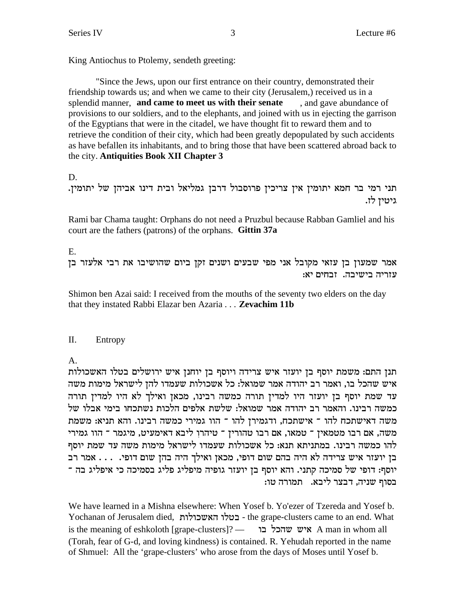King Antiochus to Ptolemy, sendeth greeting:

"Since the Jews, upon our first entrance on their country, demonstrated their friendship towards us; and when we came to their city (Jerusalem,) received us in a splendid manner, and came to meet us with their senate , and gave abundance of provisions to our soldiers, and to the elephants, and joined with us in ejecting the garrison of the Egyptians that were in the citadel, we have thought fit to reward them and to retrieve the condition of their city, which had been greatly depopulated by such accidents as have befallen its inhabitants, and to bring those that have been scattered abroad back to the city. Antiquities Book XII Chapter 3

D.

תני רמי בר חמא יתומין אין צריכין פרוסבול דרבן גמליאל ובית דינו אביהן של יתומין. גיטיז לז.

Rami bar Chama taught: Orphans do not need a Pruzbul because Rabban Gamliel and his court are the fathers (patrons) of the orphans. Gittin 37a

 $E_{\cdot}$ 

אמר שמעון בן עזאי מקובל אני מפי שבעים ושנים זקן ביום שהושיבו את רבי אלעזר בן עזריה בישיבה. זבחים יא:

Shimon ben Azai said: I received from the mouths of the seventy two elders on the day that they instated Rabbi Elazar ben Azaria . . . Zevachim 11b

#### Π. Entropy

 $A<sub>1</sub>$ 

תנן התם: משמת יוסף בן יועזר איש צרידה ויוסף בן יוחנן איש ירושלים בטלו האשכולות איש שהכל בו, ואמר רב יהודה אמר שמואל: כל אשכולות שעמדו להן לישראל מימות משה עד שמת יוסף בן יועזר היו למדין תורה כמשה רבינו, מכאן ואילך לא היו למדין תורה כמשה רבינו. והאמר רב יהודה אמר שמואל: שלשת אלפים הלכות נשתכחו בימי אבלו של משה דאישתכח להו ־ אישתכח, ודגמירן להו ־ הוו גמירי כמשה רבינו. והא תניא: משמת משה, אם רבו מטמאין ־ טמאו, אם רבו טהורין ־ טיהרו ליבא דאימעיט, מיגמר ־ הוו גמירי להו כמשה רבינו. במתניתא תנא: כל אשכולות שעמדו לישראל מימות משה עד שמת יוסף בן יועזר איש צרידה לא היה בהם שום דופי, מכאן ואילך היה בהן שום דופי. . . . אמר רב יוסף: דופי של סמיכה קתני. והא יוסף בן יועזר גופיה מיפליג פליג בסמיכה כי איפליג בה ־ בסוף שניה, דבצר ליבא. תמורה טו:

We have learned in a Mishna elsewhere: When Yosef b. Yo'ezer of Tzereda and Yosef b. Yochanan of Jerusalem died, בטלו האשכולות - the grape-clusters came to an end. What is the meaning of eshkoloth [grape-clusters]? עדהכל בו A man in whom all (Torah, fear of G-d, and loving kindness) is contained. R. Yehudah reported in the name of Shmuel: All the 'grape-clusters' who arose from the days of Moses until Yosef b.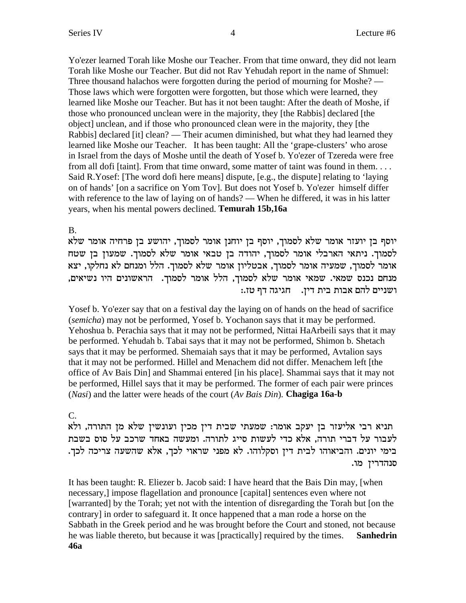Yo'ezer learned Torah like Moshe our Teacher. From that time onward, they did not learn Torah like Moshe our Teacher. But did not Rav Yehudah report in the name of Shmuel: Three thousand halachos were forgotten during the period of mourning for Moshe? — Those laws which were forgotten were forgotten, but those which were learned, they learned like Moshe our Teacher. But has it not been taught: After the death of Moshe, if those who pronounced unclean were in the majority, they [the Rabbis] declared [the object] unclean, and if those who pronounced clean were in the majority, they [the Rabbis] declared [it] clean? — Their acumen diminished, but what they had learned they learned like Moshe our Teacher. It has been taught: All the 'grape-clusters' who arose in Israel from the days of Moshe until the death of Yosef b. Yo'ezer of Tzereda were free from all dofi [taint]. From that time onward, some matter of taint was found in them. . . . Said R.Yosef: [The word dofi here means] dispute, [e.g., the dispute] relating to 'laying on of hands' [on a sacrifice on Yom Tov]. But does not Yosef b. Yo'ezer himself differ with reference to the law of laying on of hands? — When he differed, it was in his latter years, when his mental powers declined. **Temurah 15b,16a**

## B.

יוסף בן יועזר אומר שלא לסמוך, יוסף בן יוחנן אומר לסמוך, יהושע בן פרחיה אומר שלא לסמוך. ניתאי הארבלי אומר לסמוך, יהודה בן טבאי אומר שלא לסמוך. שמעון בן שטח אומר לסמוך, שמעיה אומר לסמוך, אבטליון אומר שלא לסמוך. הלל ומנחם לא נחלקו, יצא מנחם נכנס שמאי. שמאי אומר שלא לסמוך, הלל אומר לסמוך. הראשונים היו נשיאים, : ושניים להם אבות בית דין. | חגיגה דף טז

Yosef b. Yo'ezer say that on a festival day the laying on of hands on the head of sacrifice (*semicha*) may not be performed, Yosef b. Yochanon says that it may be performed. Yehoshua b. Perachia says that it may not be performed, Nittai HaArbeili says that it may be performed. Yehudah b. Tabai says that it may not be performed, Shimon b. Shetach says that it may be performed. Shemaiah says that it may be performed, Avtalion says that it may not be performed. Hillel and Menachem did not differ. Menachem left [the office of Av Bais Din] and Shammai entered [in his place]. Shammai says that it may not be performed, Hillel says that it may be performed. The former of each pair were princes (*Nasi*) and the latter were heads of the court (*Av Bais Din*). **Chagiga 16a-b**

# C.

תניא רבי אליעזר בן יעקב אומר: שמעתי שבית דין מכין ועונשין שלא מן התורה, ולא לעבור על דברי תורה, אלא כדי לעשות סייג לתורה. ומעשה באחד שרכב על סוס בשבת בימי יונים. והביאוהו לבית דין וסקלוהו. לא מפני שראוי לכך, אלא שהשעה צריכה לכך. סנהדרין מו.

It has been taught: R. Eliezer b. Jacob said: I have heard that the Bais Din may, [when necessary,] impose flagellation and pronounce [capital] sentences even where not [warranted] by the Torah; yet not with the intention of disregarding the Torah but [on the contrary] in order to safeguard it. It once happened that a man rode a horse on the Sabbath in the Greek period and he was brought before the Court and stoned, not because he was liable thereto, but because it was [practically] required by the times. **Sanhedrin 46a**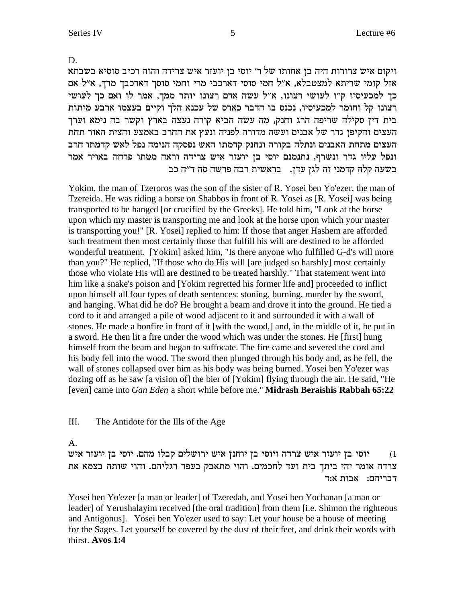D.

ויקום איש צרורות היה בן אחותו של ר׳ יוסי בן יועזר איש צרידה והוה רכיב סוסיא בשבתא אזל קומי שריתא למצטבלא, א"ל חמי סוסי דארכבי מרי וחמי סוסך דארכבך מרך, א"ל אם כך למכעיסיו ק"ו לעושי רצונו, א"ל עשה אדם רצונו יותר ממך, אמר לו ואם כך לעושי רצונו קל וחומר למכעיסיו, נכנס בו הדבר כארס של עכנא הלך וקיים בעצמו ארבע מיתות בית דין סקילה שריפה הרג וחנק, מה עשה הביא קורה נעצה בארץ וקשר בה נימא וערך העצים והקיפן גדר של אבנים ועשה מדורה לפניה ונעץ את החרב באמצע והצית האור תחת העצים מתחת האבנים ונתלה בקורה ונחנק קדמתו האש נפסקה הנימה נפל לאש קדמתו חרב ונפל עליו גדר ונשרף, נתנמנם יוסי בן יועזר איש צרידה וראה מטתו פרחה באויר אמר בשעה קלה קדמני זה לגן עדן. נבראשית רבה פרשה סה ד"ה כב

Yokim, the man of Tzeroros was the son of the sister of R. Yosei ben Yo'ezer, the man of Tzereida. He was riding a horse on Shabbos in front of R. Yosei as [R. Yosei] was being transported to be hanged [or crucified by the Greeks]. He told him, "Look at the horse upon which my master is transporting me and look at the horse upon which your master is transporting you!" [R. Yosei] replied to him: If those that anger Hashem are afforded such treatment then most certainly those that fulfill his will are destined to be afforded wonderful treatment. [Yokim] asked him, "Is there anyone who fulfilled G-d's will more than you?" He replied, "If those who do His will [are judged so harshly] most certainly those who violate His will are destined to be treated harshly." That statement went into him like a snake's poison and [Yokim regretted his former life and] proceeded to inflict upon himself all four types of death sentences: stoning, burning, murder by the sword, and hanging. What did he do? He brought a beam and drove it into the ground. He tied a cord to it and arranged a pile of wood adjacent to it and surrounded it with a wall of stones. He made a bonfire in front of it [with the wood,] and, in the middle of it, he put in a sword. He then lit a fire under the wood which was under the stones. He [first] hung himself from the beam and began to suffocate. The fire came and severed the cord and his body fell into the wood. The sword then plunged through his body and, as he fell, the wall of stones collapsed over him as his body was being burned. Yosei ben Yo'ezer was dozing off as he saw [a vision of] the bier of [Yokim] flying through the air. He said, "He [even] came into *Gan Eden* a short while before me." **Midrash Beraishis Rabbah 65:22**

### III. The Antidote for the Ills of the Age

A.

יוסי בן יועזר איש צרדה ויוסי בן יוחנן איש ירושלים קבלו מהם. יוסי בן יועזר איש צרדה אומר יהי ביתך בית ועד לחכמים. והוי מתאבק בעפר רגליהם. והוי שותה בצמא את רבריהם:  $x$ בות א

Yosei ben Yo'ezer [a man or leader] of Tzeredah, and Yosei ben Yochanan [a man or leader] of Yerushalayim received [the oral tradition] from them [i.e. Shimon the righteous and Antigonus]. Yosei ben Yo'ezer used to say: Let your house be a house of meeting for the Sages. Let yourself be covered by the dust of their feet, and drink their words with thirst. **Avos 1:4**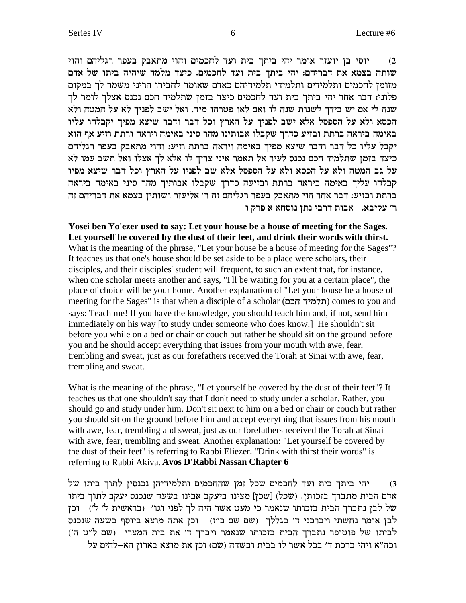יוסי בן יועזר אומר יהי ביתך בית ועד לחכמים והוי מתאבק בעפר רגליהם והוי שותה בצמא את דבריהם: יהי ביתך בית ועד לחכמים. כיצד מלמד שיהיה ביתו של אדם מזומן לחכמים ותלמידים ותלמידי תלמידיהם כאדם שאומר לחבירו הריני משמר לך במקום פלוני: דבר אחר יהי ביתך בית ועד לחכמים כיצד בזמן שתלמיד חכם נכנס אצלך לומר לך שנה לי אם יש בידך לשנות שנה לו ואם לאו פטרהו מיד. ואל ישב לפניך לא על המטה ולא הכסא ולא על הספסל אלא ישב לפניך על הארץ וכל דבר ודבר שיצא מפיך יקבלהו עליו באימה ביראה ברתת ובזיע כדרך שקבלו אבותינו מהר סיני באימה ויראה ורתת וזיע אף הוא יקבל עליו כל דבר ודבר שיצא מפיך באימה ויראה ברתת וזיע: והוי מתאבק בעפר רגליהם ביצד בזמן שתלמיד חכם נכנס לעיר אל תאמר איני צריך לו אלא לך אצלו ואל תשב עמו לא על גב המטה ולא על הכסא ולא על הספסל אלא שב לפניו על הארץ וכל דבר שיצא מפיו קבלהו עליך באימה ביראה ברתת ובזיעה כדרך שקבלו אבותיך מהר סיני באימה ביראה ברתת ובזיע: דבר אחר הוי מתאבק בעפר רגליהם זה ר׳ אליעזר ושותין בצמא את דבריהם זה ר' עקיבא. אבות דרבי נתן נוסחא א פרק ו

**Yosei ben Yo'ezer used to say: Let your house be a house of meeting for the Sages. Let yourself be covered by the dust of their feet, and drink their words with thirst.** What is the meaning of the phrase, "Let your house be a house of meeting for the Sages"? It teaches us that one's house should be set aside to be a place were scholars, their disciples, and their disciples' student will frequent, to such an extent that, for instance, when one scholar meets another and says, "I'll be waiting for you at a certain place", the place of choice will be your home. Another explanation of "Let your house be a house of meeting for the Sages" is that when a disciple of a scholar (תלמיד חכם) comes to you and says: Teach me! If you have the knowledge, you should teach him and, if not, send him immediately on his way [to study under someone who does know.] He shouldn't sit before you while on a bed or chair or couch but rather he should sit on the ground before you and he should accept everything that issues from your mouth with awe, fear, trembling and sweat, just as our forefathers received the Torah at Sinai with awe, fear, trembling and sweat.

What is the meaning of the phrase, "Let yourself be covered by the dust of their feet"? It teaches us that one shouldn't say that I don't need to study under a scholar. Rather, you should go and study under him. Don't sit next to him on a bed or chair or couch but rather you should sit on the ground before him and accept everything that issues from his mouth with awe, fear, trembling and sweat, just as our forefathers received the Torah at Sinai with awe, fear, trembling and sweat. Another explanation: "Let yourself be covered by the dust of their feet" is referring to Rabbi Eliezer. "Drink with thirst their words" is referring to Rabbi Akiva. **Avos D'Rabbi Nassan Chapter 6**

1) יהי ביתך בית ועד לחכמים שכל זמן שהחכמים ותלמידיהן נכנסין לתוך ביתו של אדם הבית מתברך בזכותן. (שכל) [שכן] מצינו ביעקב אבינו בשעה שנכנס יעקב לתוך ביתו סל לכן נתברך הבית בזכותו שנאמר כי מעט אשר היה לך לפני וגו׳ (בראשית ל׳ ל׳) וכן  $w$ לבן אומר נחשתי ויברכני ד' בגללך (שם שם כ"ז) וכן אתה מוצא ביוסף בשעה שנכנס לביתו של פוטיפר נתברך הבית בזכותו שנאמר ויברך ד' את בית המצרי (שם ל"ט ה') וכה"א ויהי ברכת ד' בכל אשר לו בבית ובשדה (שם) וכן את מוצא בארון הא-להים על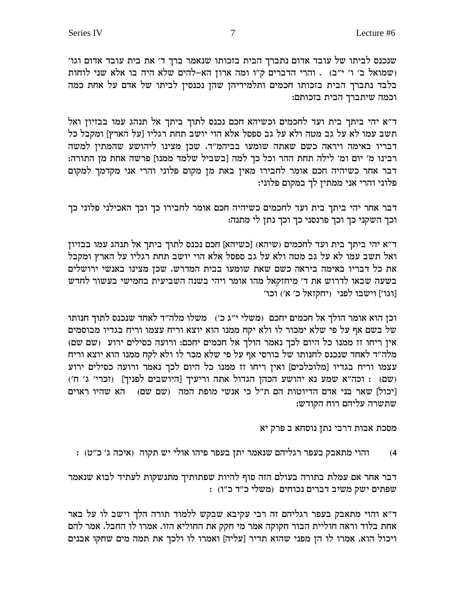שנכנס לביתו של עובד אדום נתברך הבית בזכותו שנאמר ברך ד׳ את בית עובד אדום וגו׳ (שמואל ב' ו' י"ב) . והרי הדברים ק"ו ומה ארון הא-להים שלא היה בו אלא שני לוחות בלבד נתברך הבית בזכותו חכמים ותלמידיהן שהן נכנסין לביתו של אדם על אחת כמה וכמה שיתברך הבית בזכותם:

ד"א יהי ביתך בית ועד לחכמים וכשיהא חכם נכנס לתוך ביתך אל תנהג עמו בבזיון ואל תשב עמו לא על גב מטה ולא על גב ספסל אלא הוי יושב תחת רגליו [על הארץ] ומקבל כל דבריו באימה ויראה כשם שאתה שומעו בביהמ"ד. שכן מצינו ליהושע שהמתין למשה רבינו מ׳ יום ומ׳ לילה תחת ההר וכל כך למה [בשביל שלמד ממנו] פרשה אחת מן התורה: דבר אחר כשיהיה חכם אומר לחבירו מאין באת מן מקום פלוני והרי אני מקדמך למקום פלוני והרי אני ממתין לך במקום פלוני:

דבר אחר יהי ביתך בית ועד לחכמים כשיהיה חכם אומר לחבירו כך וכך האכילני פלוני כך וכך השקני כך וכך פרנסני כך וכך נתן לי מתנה:

ד״א יהי ביתך בית ועד לחכמים (שיהא) [כשיהא] חכם נכנס לתוך ביתך אל תנהג עמו בבזיון ואל תשב עמו לא על גב מטה ולא על גב ספסל אלא הוי יושב תחת רגליו על הארץ ומקבל את כל דבריו באימה ביראה כשם שאת שומעו בבית המדרש. שכן מצינו באנשי ירושלים בשעה שבאו לדרוש את ד' מיחזקאל מהו אומר ויהי בשנה השביעית בחמישי בעשור לחדש [וגו'] וישבו לפני (יחקזאל כ' א') וכו'

וכן הוא אומר הולך אל חכמים יחכם (משלי י"ג כ') משלו מלה"ד לאחד שנכנס לתוך חנותו של בשם אף על פי שלא ימכור לו ולא יקח ממנו הוא יוצא וריח עצמו וריח בגדיו מבוסמים אין ריחו זז ממנו כל היום לכך נאמר הולך אל חכמים יחכם: ורועה כסילים ירוע (שם שם) .<br>מלה"ד לאחד שנכנס לחנותו של בורסי אף על פי שלא מכר לו ולא לקח ממנו הוא יוצא וריח עצמו וריח בגדיו [מלוכלכים] ואין ריחו זז ממנו כל היום לכך נאמר ורועה כסילים ירוע (שם) : וכה"א שמע נא יהושע הכהן הגדול אתה וריעיך [היושבים לפניך] (זכרי' ג' ח') [יכול] שאר בני אדם הדיוטות הם ת"ל כי אנשי מופת המה (שם שם) | הא שהיו ראוים שתשרה עליהם רוח הקודש:

מסכת אבות דרבי נתן נוסחא ב פרק יא

והוי מתאבק בעפר רגליהם שנאמר יתן בעפר פיהו אולי יש תקוה (איכה ג׳ כ״ט) :  $(4)$ 

דבר אחר אם עמלת בתורה בעולם הזה סוף להיות שפתותיך מתנשקות לעתיד לבוא שנאמר שפתים ישק משיב דברים נכוחים (משלי כ"ד כ"ו) :

ד"א והוי מתאבק בעפר רגליהם זה רבי עקיבא שבקש ללמוד תורה הלך וישב לו על באר אחת בלוד וראה חוליית הבור חקוקה אמר מי חקק את החוליא הזו. אמרו לו החבל. אמר להם ויכול הוא. אמרו לו הן מפני שהוא תדיר [עליה] ואמרו לו ולכך את תמה מים שחקו אבנים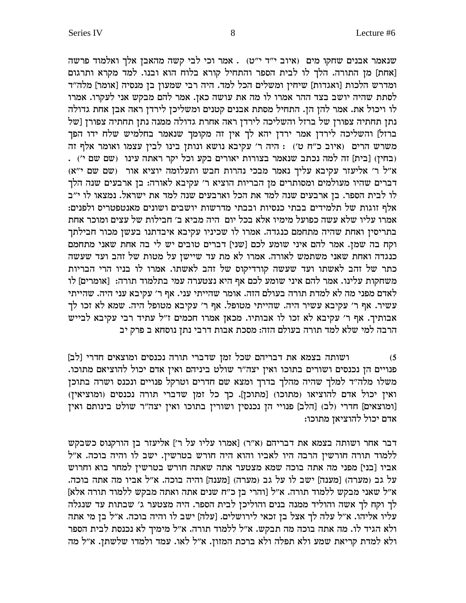שנאמר אבנים שחקו מים (איוב י"ד י"ט) . אמר וכי לבי קשה מהאבן אלך ואלמוד פרשה [אחת] מן התורה. הלך לו לבית הספר והתחיל קורא בלוח הוא ובנו. למד מקרא ותרגום ומדרש הלכות [ואגדות] שיחין ומשלים הכל למד. היה רבי שמעון בן מנסיה [אומר] מלה"ד לסתת שהיה יושב בצד ההר אמרו לו מה את עושה כאן. אמר להם מבקש אני לעקרו. אמרו לו ויכול את. אמר להן הן. התחיל מסתת אבנים קטנים ומשליכן לירדן ראה אבן אחת גדולה נתן תחתיה צפורן של ברזל והשליכה לירדן ראה אחרת גדולה ממנה נתן תחתיה צפורן [של ברזל] והשליכה לירדן אמר ירדן יהא לך אין זה מקומך שנאמר בחלמיש שלח ידו הפך משרש הרים (איוב כ"ח ט') : היה ר' עקיבא נושא ונותן בינו לבין עצמו ואומר אלף זה (בחין) [בית] זה למה נכתב שנאמר בצורות יאורים בקע וכל יקר ראתה עינו (שם שם י'). א״ל ר׳ אליעזר עקיבא עליך נאמר מבכי נהרות חבש ותעלומה יוציא אור (שם שם י״א) דברים שהיו מעולמים ומסותרים מן הבריות הוציא ר׳ עקיבא לאורה: בן ארבעים שנה הלך לו לבית הספר. בן ארבעים שנה למד את הכל וארבעים שנה למד את ישראל. נמצאו לו י"ב אלף זוגות של תלמידים בבתי כנסיות ובבתי מדרשות יושבים ושונים מאנטפטריס ולפנים: אמרו עליו שלא עשה כפועל מימיו אלא בכל יום היה מביא ב׳ חבילות של עצים ומוכר אחת בתריסין ואחת שהיה מתחמם כנגדה. אמרו לו שכיניו עקיבא איבדתנו בעשן מכור חבילתך וקח בה שמן. אמר להם איני שומע לכם [שני] דברים טובים יש לי בה אחת שאני מתחמם כנגדה ואחת שאני משתמש לאורה. אמרו לא מת עד שיישן על מטות של זהב ועד שעשה כתר של זהב לאשתו ועד שעשה קורדיקוס של זהב לאשתו. אמרו לו בניו הרי הבריות משחקות עלינו. אמר להם איני שומע לכם אף היא נצטערה עמי בתלמוד תורה: [אומרים] לו לאדם מפני מה לא למדת תורה בעולם הזה. אומר שהייתי עני. אף ר׳ עקיבא עני היה. שהייתי .<br>עשיר. אף ר' עקיבא עשיר היה. שהייתי מטופל. אף ר' עקיבא מטופל היה. שמא לא זכו לך אבותיך. אף ר' עקיבא לא זכו לו אבותיו. מכאן אמרו חכמים ז"ל עתיד רבי עקיבא לבייש .<br>הרבה למי שלא למד תורה בעולם הזה: מסכת אבות דרבי נתן נוסחא ב פרק יב

ושותה בצמא את דבריהם שכל זמן שדברי תורה נכנסים ומוצאים חדרי [לב]  $(5)$ פנויים הן נכנסים ושורים בתוכו ואין יצה"ר שולט ביניהם ואין אדם יכול להוציאם מתוכו. משלו מלה"ד למלך שהיה מהלך בדרך ומצא שם חדרים וטרקל פנויים ונכנס ושרה בתוכן ואין יכול אדם להוציאו (מתוכו) [מתוכן]. כך כל זמן שדברי תורה נכנסים (ומוציאין) [ומוצאים] חדרי (לב) [הלב] פנויי הן נכנסין ושורין בתוכו ואין יצה"ר שולט בינותם ואין אדם יכול להוציאן מתוכו:

דבר אחר ושותה בצמא את דבריהם (א"ר) [אמרו עליו על ר'] אליעזר בן הורקנוס כשבקש ללמוד תורה חורשין הרבה היו לאביו והוא היה חורש בטרשין. ישב לו והיה בוכה. א"ל אביו [בני] מפני מה אתה בוכה שמא מצטער אתה שאתה חורש בטרשין למחר בוא וחרוש על גב (מערה) [מענה] ישב לו על גב (מערה) [מענה] והיה בוכה. א"ל אביו מה אתה בוכה. א״ל שאני מבקש ללמוד תורה. א״ל [והרי בן כ״ח שנים אתה ואתה מבקש ללמוד תורה אלא] לך וקח לך אשה והוליד ממנה בנים והוליכן לבית הספר. היה מצטער ג' שבתות עד שנגלה עליו אליהו. א״ל עלה לך אצל בן זכאי לירושלים. [עלה] ישב לו והיה בוכה. א״ל בן מי אתה ולא הגיד לו. מה אתה בוכה מה תבקש. א"ל ללמוד תורה. א"ל מימיך לא נכנסת לבית הספר ולא למדת קריאת שמע ולא תפלה ולא ברכת המזון. א"ל לאו. עמד ולמדו שלשתן. א"ל מה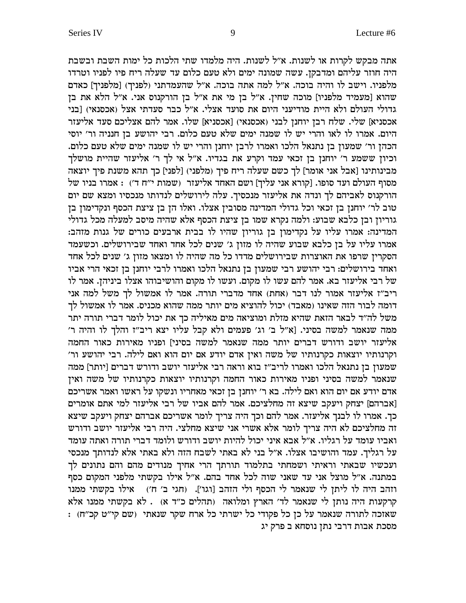אתה מבקש לקרות או לשנות. א"ל לשנות. היה מלמדו שתי הלכות כל ימות השבת ובשבת היה חוזר עליהם ומדבקן. עשה שמונה ימים ולא טעם כלום עד שעלה ריח פיו לפניו וטרדו מלפניו. וישב לו והיה בוכה. א"ל למה אתה בוכה. א"ל שהעמדתני (לפניך) [מלפניך] כאדם שהוא [מעמיד מלפניו] מוכה שחין. א"ל בן מי את א"ל בן הורקנוס אני. א"ל הלא את בן גדולי העולם ולא היית מודיעני היום את סועד אצלי. א"ל כבר סעדתי אצל (אכסנאי) [בני אכסניא] שלי. שלח רבן יוחנן לבני (אכסנאי) [אכסניא] שלו. אמר להם אצליכם סעד אליעזר היום. אמרו לו לאו והרי יש לו שמנה ימים שלא טעם כלום. רבי יהושע בן חנניה ור׳ יוסי הכהן ור׳ שמעון בן נתנאל הלכו ואמרו לרבן יוחנן והרי יש לו שמנה ימים שלא טעם כלום. וכיון ששמע ר' יוחנן בן זכאי עמד וקרע את בגדיו. א״ל אי לך ר' אליעזר שהיית מושלך ,<br>מבינותינו [אבל אני אומר] לך כשם שעלה ריח פיך (מלפני) [לפני] כך תהא משנת פיך יוצאה וע - העולם ועד סופו. [קורא אני עליך] ושם האחד אליעזר (שמות י"ח ד') . אמרו בניו של " הורקנוס לאביהם לך ונדה את אליעזר מנכסיך. עלה לירושלים לנדותו מנכסיו ומצא שם יום טוב לר׳ יוחנן בן זכאי וכל גדולי המדינה מסובין אצלו. ואלו הן בן ציצת הכסף ונקדימון בן גוריון ובן כלבא שבוע: ולמה נקרא שמו בן ציצת הכסף אלא שהיה מיסב למעלה מכל גדולי המדינה: אמרו עליו על נקדימון בן גוריון שהיו לו בבית ארבעים כורים של גנות מזהב: אמרו עליו על בן כלבא שבוע שהיה לו מזון ג׳ שנים לכל אחד ואחד שבירושלים. וכשעמד הסקרין שרפו את האוצרות שבירושלים מדדו כל מה שהיה לו ומצאו מזון ג׳ שנים לכל אחד ואחד בירושלים: רבי יהושע רבי שמעון בן נתנאל הלכו ואמרו לרבי יוחנן בן זכאי הרי אביו של רבי אליעזר בא. אמר להם עשו לו מקום. ועשו לו מקום והושיבוהו אצלו ביניהן. אמר לו ריב"ז אליעזר אמור לנו דבר (אחת) אחד מדברי תורה. אמר לו אמשול לך משל למה אני דומה לבור הזה שאינו (מאבד) יכול להוציא מים יותר ממה שהוא מכניס. אמר לו אמשול לך משל לה״ד לבאר הזאת שהיא מזלת ומוציאה מים מאיליה כך את יכול לומר דברי תורה יתר ממה שנאמר למשה בסיני. [א"ל ב' וג' פעמים ולא קבל עליו יצא ריב"ז והלך לו והיה ר' אליעזר יושב ודורש דברים יותר ממה שנאמר למשה בסיני] ופניו מאירות כאור החמה וקרנותיו יוצאות כקרנותיו של משה ואין אדם יודע אם יום הוא ואם לילה. רבי יהושע ור' ממה [יותר] שמעון בן נתנאל הלכו ואמרו לריב"ז בוא וראה רבי אליעזר יושב ודורש דברים [יותר] ממה שנאמר למשה בסיני ופניו מאירות כאור החמה וקרנותיו יוצאות כקרנותיו של משה ואין  $\sim$  אדם יודע אם יום הוא ואם לילה. בא ר׳ יוחנן בן זכאי מאחריו ונשקו על ראשו ואמר אשריכם אברהם] יצחק ויעקב שיצא זה מחלציכם. אמר להם אביו של רבי אליעזר למי אתם אומרים כך. אמרו לו לבנך אליעזר. אמר להם וכך היה צריך לומר אשריכם אברהם יצחק ויעקב שיצא זה מחלציכם לא היה צריך לומר אלא אשרי אני שיצא מחלצי. היה רבי אליעזר יושב ודורש ואביו עומד על רגליו. א"ל אבא איני יכול להיות יושב ודורש ולומד דברי תורה ואתה עומד על רגליך. עמד והושיבו אצלו. א"ל בני לא באתי לשבח הזה ולא באתי אלא לנדותך מנכסי ועכשיו שבאתי וראיתי ושמחתי בתלמוד תורתך הרי אחיך מנודים מהם והם נתונים לך במתנה. א"ל מוצל אני עד שאני שוה לכל אחד בהם. א"ל אילו בקשתי מלפני המקום כסף וזהב היה לו ליתן לי שנאמר לי הכסף ולי הזהב [וגו']. (חגי ב' ח') אילו בקשתי ממנו קרקעות היה נותן לי שנאמר לד׳ הארץ ומלואה (תהלים כ״ד א) . לא בקשתי ממנו אלא : (שובה לתורה שנאמר על כן כל פקודי כל ישרתי כל ארח שקר שנאתי שם קי"ט קכ"ח) מסכת אבות דרבי נתן נוסחא ב פרק יג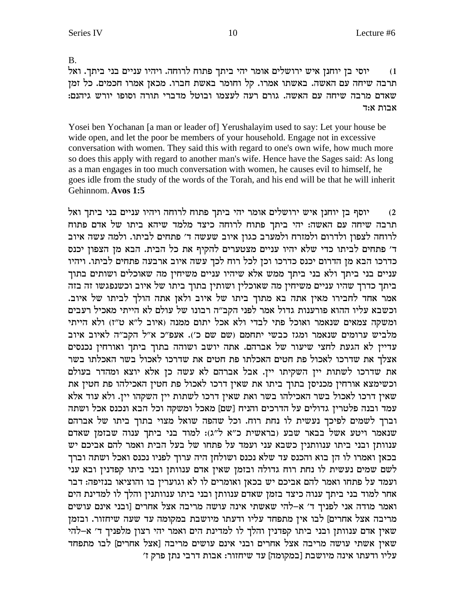**B.** 

יוסי בן יוחנן איש ירושלים אומר יהי ביתך פתוח לרוחה. ויהיו עניים בני ביתך. ואל  $(1)$ תרבה שיחה עם האשה. באשתו אמרו. קל וחומר באשת חברו. מכאן אמרו חכמים. כל זמן .<br>שאדם מרבה שיחה עם האשה. גורם רעה לעצמו ובוטל מדברי תורה וסופו יורש גיהנם: אבות א:ד

Yosei ben Yochanan [a man or leader of] Yerushalayim used to say: Let your house be wide open, and let the poor be members of your household. Engage not in excessive conversation with women. They said this with regard to one's own wife, how much more so does this apply with regard to another man's wife. Hence have the Sages said: As long as a man engages in too much conversation with women, he causes evil to himself, he goes idle from the study of the words of the Torah, and his end will be that he will inherit Gehinnom. Avos 1:5

יוסף בן יוחנן איש ירושלים אומר יהי ביתך פתוח לרוחה ויהיו עניים בני ביתך ואל  $(2)$ תרבה שיחה עם האשה: יהי ביתך פתוח לרוחה כיצד מלמד שיהא ביתו של אדם פתוח לרוחה לצפון ולדרום ולמזרח ולמערב כגון איוב שעשה ד' פתחים לביתו. ולמה עשה איוב ד' פתחים לביתו כדי שלא יהיו עניים מצטערים להקיף את כל הבית. הבא מן הצפון יכנס כדרכו הבא מן הדרום יכנס כדרכו וכן לכל רוח לכך עשה איוב ארבעה פתחים לביתו. ויהיו עניים בני ביתך ולא בני ביתך ממש אלא שיהיו עניים משיחין מה שאוכלים ושותים בתוך ביתך כדרך שהיו עניים משיחין מה שאוכלין ושותין בתוך ביתו של איוב וכשנפגשו זה בזה אמר אחד לחבירו מאין אתה בא מתוך ביתו של איוב ולאן אתה הולך לביתו של איוב. וכשבא עליו ההוא פורענות גדול אמר לפני הקב״ה רבונו של עולם לא הייתי מאכיל רעבים ומשקה צמאים שנאמר ואוכל פתי לבדי ולא אכל יתום ממנה (איוב ל"א ט"ז) ולא הייתי מלביש ערומים שנאמר ומגז כבשי יתחמם (שם שם כ׳). אעפ״כ א״ל הקב״ה לאיוב איוב עדיין לא הגעת לחצי שיעור של אברהם. אתה יושב ושוהה בתוך ביתך ואורחין נכנסים אצלך את שדרכו לאכול פת חטים האכלתו פת חטים את שדרכו לאכול בשר האכלתו בשר את שדרכו לשתות יין השקיתו יין. אבל אברהם לא עשה כן אלא יוצא ומהדר בעולם וכשימצא אורחין מכניסן בתוך ביתו את שאין דרכו לאכול פת חטין האכילהו פת חטין את שאין דרכו לאכול בשר האכילהו בשר ואת שאין דרכו לשתות יין השקהו יין. ולא עוד אלא עמד ובנה פלטרין גדולים על הדרכים והניח [שם] מאכל ומשקה וכל הבא ונכנס אכל ושתה וברך לשמים לפיכך נעשית לו נחת רוח. וכל שהפה שואל מצוי בתוך ביתו של אברהם שנאמר ויטע אשל בבאר שבע (בראשית כ"א ל"ג): למוד בני ביתך ענוה שבזמן שאדם ענוותן ובני ביתו ענוותנין כשבא עני ועמד על פתחו של בעל הבית ואמר להם אביכם יש בכאן ואמרו לו הן בוא והכנס עד שלא נכנס ושולחן היה ערוך לפניו נכנס ואכל ושתה וברך לשם שמים נעשית לו נחת רוח גדולה ובזמן שאין אדם ענוותן ובני ביתו קפדנין ובא עני ועמד על פתחו ואמר להם אביכם יש בכאן ואומרים לו לא וגוערין בו והוציאו בנזיפה: דבר אחר למוד בני ביתך ענוה כיצד בזמן שאדם ענוותן ובני ביתו ענוותנין והלך לו למדינת הים ואמר מודה אני לפניך ד' א-להי שאשתי אינה עושה מריבה אצל אחרים [ובני אינם עושים מריבה אצל אחרים] לבו אין מתפחד עליו ודעתו מיושבת במקומה עד שעה שיחזור. ובזמן שאין אדם ענוותן ובני ביתו קפדנין והלך לו למדינת הים ואמר יהי רצון מלפניך ד' א-להי שאין אשתי עושה מריבה אצל אחרים ובני אינם עושים מריבה [אצל אחרים] לבו מתפחד עליו ודעתו אינה מיושבת [במקומה] עד שיחזור: אבות דרבי נתן פרק ז'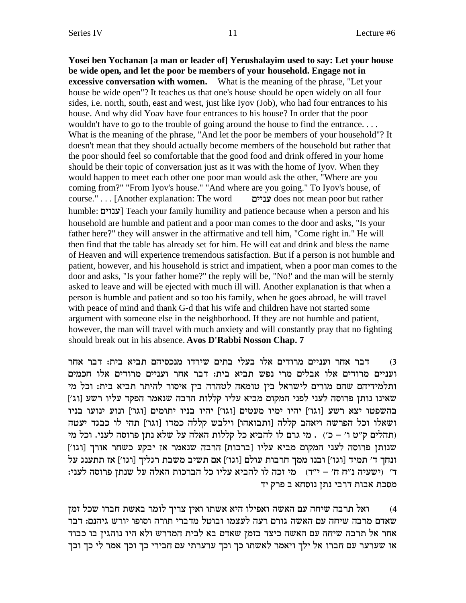**Yosei ben Yochanan [a man or leader of] Yerushalayim used to say: Let your house be wide open, and let the poor be members of your household. Engage not in excessive conversation with women.** What is the meaning of the phrase, "Let your house be wide open"? It teaches us that one's house should be open widely on all four sides, i.e. north, south, east and west, just like Iyov (Job), who had four entrances to his house. And why did Yoav have four entrances to his house? In order that the poor wouldn't have to go to the trouble of going around the house to find the entrance. . . . What is the meaning of the phrase, "And let the poor be members of your household"? It doesn't mean that they should actually become members of the household but rather that the poor should feel so comfortable that the good food and drink offered in your home should be their topic of conversation just as it was with the home of Iyov. When they would happen to meet each other one poor man would ask the other, "Where are you coming from?" "From Iyov's house." "And where are you going." To Iyov's house, of course." . . . [Another explanation: The word miipr does not mean poor but rather humble: ענוים] Teach your family humility and patience because when a person and his household are humble and patient and a poor man comes to the door and asks, "Is your father here?" they will answer in the affirmative and tell him, "Come right in." He will then find that the table has already set for him. He will eat and drink and bless the name of Heaven and will experience tremendous satisfaction. But if a person is not humble and patient, however, and his household is strict and impatient, when a poor man comes to the door and asks, "Is your father home?" the reply will be, "No!' and the man will be sternly asked to leave and will be ejected with much ill will. Another explanation is that when a person is humble and patient and so too his family, when he goes abroad, he will travel with peace of mind and thank G-d that his wife and children have not started some argument with someone else in the neighborhood. If they are not humble and patient, however, the man will travel with much anxiety and will constantly pray that no fighting should break out in his absence. **Avos D'Rabbi Nosson Chap. 7**

דבר אחר ועניים מרודים אלו בעלי בתים שירדו מנכסיהם תביא בית: דבר אחר  $\,$ ו ועניים מרודים אלו אבלים מרי נפש תביא בית: דבר אחר ועניים מרודים אלו חכמים ותלמידיהם שהם מורים לישראל בין טומאה לטהרה בין איסור להיתר תביא בית: וכל מי ['ג'] שאינו נותן פרוסה לעני לפני המקום מביא עליו קללות הרבה שנאמר הפקד עליו רשע בהשפטו יצא רשע [וגו'] יהיו ימיו מעטים [וגו'] יהיו בניו יתומים [וגו'] ונוע ינועו בניו ושאלו וכל הפרשה ויאהב קללה [ותבואהו] וילבש קללה כמדו [וגו'] תהי לו כבגד יעטה ותהלים ק"ט ו' – כ') . מי גרם לו להביא כל קללות האלה על שלא נתן פרוסה לעני. וכל מי ['ענותן פרוסה לעני המקום מביא עליו [ברכות] הרבה שנאמר אז יבקע כשחר אורך [וגו ונחך ד' תמיד [וגו'] ובנו ממך חרבות עולם [וגו'] אם תשיב משבת רגליך [וגו'] אז תתענג על : ו' ישעיה נ"ח ח' – י"ד) מי זכה לו להביא עליו כל הברכות האלה על שנתן פרוסה לעני מסכת אבות דרבי נתן נוסחא ב פרק יד

onf lky exag zy`a xnel jixv oi`e ezy` `id elit`e dy`d mr dgiy daxz l`e (4 שאדם מרבה שיחה עם האשה גורם רעה לעצמו ובוטל מדברי תורה וסופו יורש גיהנם: דבר אחר אל תרבה שיחה עם האשה כיצד בזמן שאדם בא לבית המדרש ולא היו נוהגין בו כבוד או שערער עם חברו אל ילך ויאמר לאשתו כך וכך ערערתי עם חבירי כך וכך אמר לי כך וכך